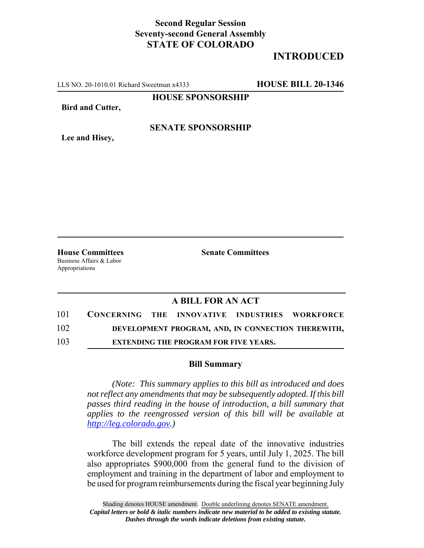## **Second Regular Session Seventy-second General Assembly STATE OF COLORADO**

# **INTRODUCED**

LLS NO. 20-1010.01 Richard Sweetman x4333 **HOUSE BILL 20-1346**

**HOUSE SPONSORSHIP**

**Bird and Cutter,**

### **SENATE SPONSORSHIP**

**Lee and Hisey,**

**House Committees Senate Committees** Business Affairs & Labor Appropriations

## **A BILL FOR AN ACT**

| 101 | CONCERNING THE INNOVATIVE INDUSTRIES WORKFORCE |                                                    |  |
|-----|------------------------------------------------|----------------------------------------------------|--|
| 102 |                                                | DEVELOPMENT PROGRAM, AND, IN CONNECTION THEREWITH, |  |
| 103 |                                                | <b>EXTENDING THE PROGRAM FOR FIVE YEARS.</b>       |  |

#### **Bill Summary**

*(Note: This summary applies to this bill as introduced and does not reflect any amendments that may be subsequently adopted. If this bill passes third reading in the house of introduction, a bill summary that applies to the reengrossed version of this bill will be available at http://leg.colorado.gov.)*

The bill extends the repeal date of the innovative industries workforce development program for 5 years, until July 1, 2025. The bill also appropriates \$900,000 from the general fund to the division of employment and training in the department of labor and employment to be used for program reimbursements during the fiscal year beginning July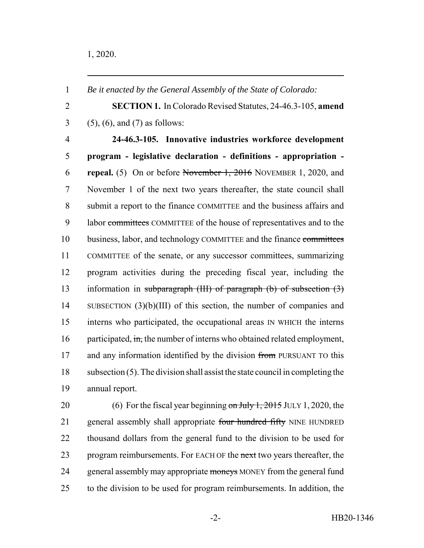**SECTION 1.** In Colorado Revised Statutes, 24-46.3-105, **amend** (5), (6), and (7) as follows: **24-46.3-105. Innovative industries workforce development program - legislative declaration - definitions - appropriation - repeal.** (5) On or before November 1, 2016 NOVEMBER 1, 2020, and November 1 of the next two years thereafter, the state council shall submit a report to the finance COMMITTEE and the business affairs and labor committees COMMITTEE of the house of representatives and to the business, labor, and technology COMMITTEE and the finance committees COMMITTEE of the senate, or any successor committees, summarizing program activities during the preceding fiscal year, including the information in subparagraph (III) of paragraph (b) of subsection (3) SUBSECTION (3)(b)(III) of this section, the number of companies and interns who participated, the occupational areas IN WHICH the interns 16 participated, in, the number of interns who obtained related employment, 17 and any information identified by the division from PURSUANT TO this subsection (5). The division shall assist the state council in completing the annual report.

*Be it enacted by the General Assembly of the State of Colorado:*

20 (6) For the fiscal year beginning  $\frac{\partial n}{\partial y} + \frac{2015}{101}$  JULY 1, 2020, the 21 general assembly shall appropriate four hundred fifty NINE HUNDRED thousand dollars from the general fund to the division to be used for 23 program reimbursements. For EACH OF the next two years thereafter, the 24 general assembly may appropriate moneys MONEY from the general fund to the division to be used for program reimbursements. In addition, the